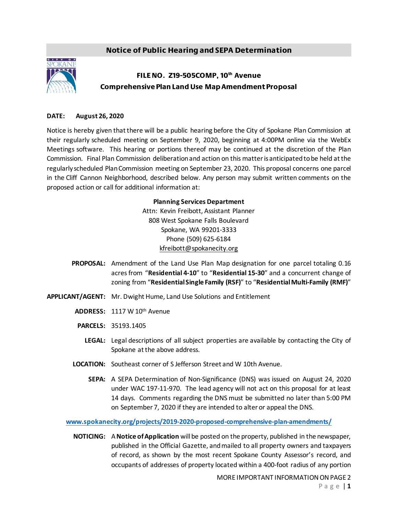## Notice of Public Hearing and SEPA Determination



## FILE NO. Z19-505COMP, 10<sup>th</sup> Avenue Comprehensive Plan Land Use Map Amendment Proposal

## **DATE: August 26, 2020**

Notice is hereby given that there will be a public hearing before the City of Spokane Plan Commission at their regularly scheduled meeting on September 9, 2020, beginning at 4:00PM online via the WebEx Meetings software. This hearing or portions thereof may be continued at the discretion of the Plan Commission. Final Plan Commission deliberation and action on this matter is anticipated to be held at the regularly scheduled Plan Commission meeting on September 23, 2020. This proposal concerns one parcel in the Cliff Cannon Neighborhood, described below. Any person may submit written comments on the proposed action or call for additional information at:

## **Planning Services Department**

Attn: Kevin Freibott, Assistant Planner 808 West Spokane Falls Boulevard Spokane, WA 99201-3333 Phone (509) 625-6184 kfreibott@spokanecity.org

- **PROPOSAL:** Amendment of the Land Use Plan Map designation for one parcel totaling 0.16 acres from "**Residential 4-10**" to "**Residential 15-30**" and a concurrent change of zoning from "**Residential Single Family (RSF)**" to "**Residential Multi-Family (RMF)**"
- **APPLICANT/AGENT:** Mr. Dwight Hume, Land Use Solutions and Entitlement
	- **ADDRESS:** 1117 W 10th Avenue
	- **PARCELS:** 35193.1405
		- **LEGAL:** Legal descriptions of all subject properties are available by contacting the City of Spokane at the above address.
	- **LOCATION:** Southeast corner of S Jefferson Street and W 10th Avenue.
		- **SEPA:** A SEPA Determination of Non-Significance (DNS) was issued on August 24, 2020 under WAC 197-11-970. The lead agency will not act on this proposal for at least 14 days. Comments regarding the DNS must be submitted no later than 5:00 PM on September 7, 2020 if they are intended to alter or appeal the DNS.

**[www.spokanecity.org/projects/2019-2020-proposed-comprehensive-plan-amendments/](http://www.spokanecity.org/projects/2019-2020-proposed-comprehensive-plan-amendments/)**

**NOTICING:** A **Notice of Application** will be posted on the property, published in the newspaper, published in the Official Gazette, and mailed to all property owners and taxpayers of record, as shown by the most recent Spokane County Assessor's record, and occupants of addresses of property located within a 400-foot radius of any portion